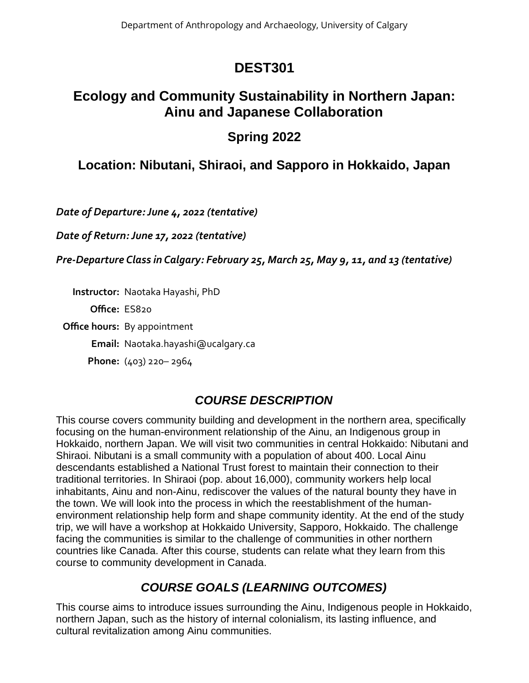# **DEST301**

# **Ecology and Community Sustainability in Northern Japan: Ainu and Japanese Collaboration**

# **Spring 2022**

# **Location: Nibutani, Shiraoi, and Sapporo in Hokkaido, Japan**

*Date of Departure: June 4, 2022 (tentative)*

*Date of Return: June 17, 2022 (tentative)*

*Pre-Departure Class in Calgary: February 25, March 25, May 9, 11, and 13 (tentative)*

**Instructor:** Naotaka Hayashi, PhD

**Office:** ES820

**Office hours:** By appointment

**Email:** Naotaka.hayashi@ucalgary.ca

**Phone:** (403) 220– 2964

## *COURSE DESCRIPTION*

This course covers community building and development in the northern area, specifically focusing on the human-environment relationship of the Ainu, an Indigenous group in Hokkaido, northern Japan. We will visit two communities in central Hokkaido: Nibutani and Shiraoi. Nibutani is a small community with a population of about 400. Local Ainu descendants established a National Trust forest to maintain their connection to their traditional territories. In Shiraoi (pop. about 16,000), community workers help local inhabitants, Ainu and non-Ainu, rediscover the values of the natural bounty they have in the town. We will look into the process in which the reestablishment of the humanenvironment relationship help form and shape community identity. At the end of the study trip, we will have a workshop at Hokkaido University, Sapporo, Hokkaido. The challenge facing the communities is similar to the challenge of communities in other northern countries like Canada. After this course, students can relate what they learn from this course to community development in Canada.

# *COURSE GOALS (LEARNING OUTCOMES)*

This course aims to introduce issues surrounding the Ainu, Indigenous people in Hokkaido, northern Japan, such as the history of internal colonialism, its lasting influence, and cultural revitalization among Ainu communities.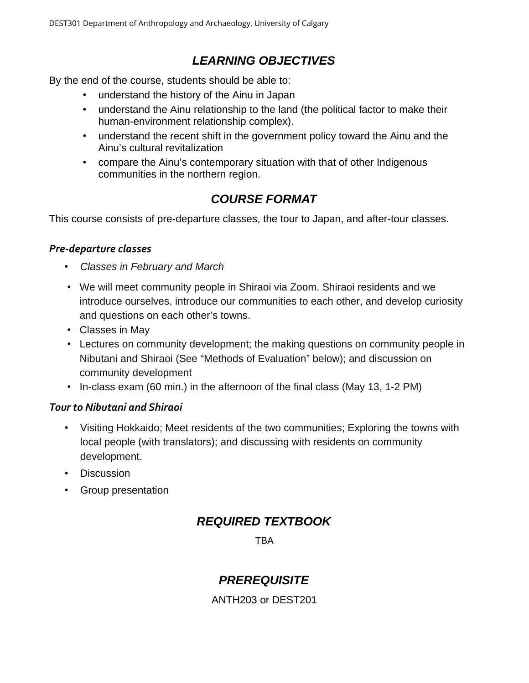## *LEARNING OBJECTIVES*

By the end of the course, students should be able to:

- understand the history of the Ainu in Japan
- understand the Ainu relationship to the land (the political factor to make their human-environment relationship complex).
- understand the recent shift in the government policy toward the Ainu and the Ainu's cultural revitalization
- compare the Ainu's contemporary situation with that of other Indigenous communities in the northern region.

## *COURSE FORMAT*

This course consists of pre-departure classes, the tour to Japan, and after-tour classes.

### *Pre-departure classes*

- *Classes in February and March*
- We will meet community people in Shiraoi via Zoom. Shiraoi residents and we introduce ourselves, introduce our communities to each other, and develop curiosity and questions on each other's towns.
- Classes in May
- Lectures on community development; the making questions on community people in Nibutani and Shiraoi (See "Methods of Evaluation" below); and discussion on community development
- In-class exam (60 min.) in the afternoon of the final class (May 13, 1-2 PM)

### *Tour to Nibutani and Shiraoi*

- Visiting Hokkaido; Meet residents of the two communities; Exploring the towns with local people (with translators); and discussing with residents on community development.
- Discussion
- Group presentation

## *REQUIRED TEXTBOOK*

**TBA** 

## *PREREQUISITE*

ANTH203 or DEST201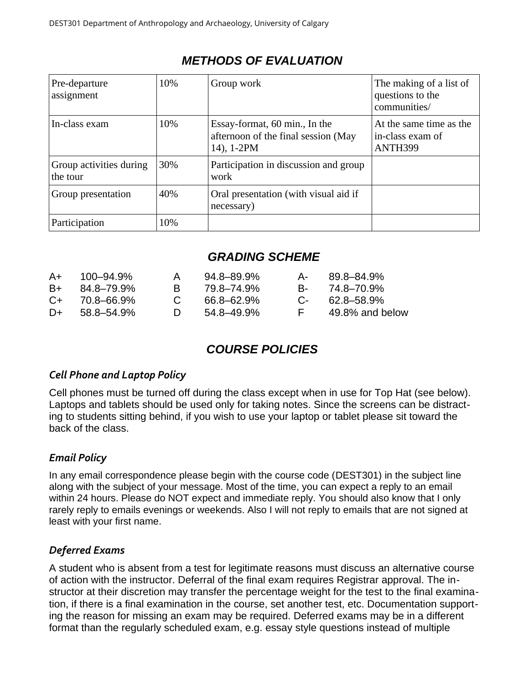| Pre-departure<br>assignment         | 10% | Group work                                                                         | The making of a list of<br>questions to the<br>communities/ |
|-------------------------------------|-----|------------------------------------------------------------------------------------|-------------------------------------------------------------|
| In-class exam                       | 10% | Essay-format, 60 min., In the<br>afternoon of the final session (May<br>14), 1-2PM | At the same time as the<br>in-class exam of<br>ANTH399      |
| Group activities during<br>the tour | 30% | Participation in discussion and group<br>work                                      |                                                             |
| Group presentation                  | 40% | Oral presentation (with visual aid if<br>necessary)                                |                                                             |
| Participation                       | 10% |                                                                                    |                                                             |

## *METHODS OF EVALUATION*

## *GRADING SCHEME*

| 89.8–84.9%      |
|-----------------|
| B- 74.8–70.9%   |
| 62.8–58.9%      |
| 49.8% and below |
|                 |

## *COURSE POLICIES*

### *Cell Phone and Laptop Policy*

Cell phones must be turned off during the class except when in use for Top Hat (see below). Laptops and tablets should be used only for taking notes. Since the screens can be distracting to students sitting behind, if you wish to use your laptop or tablet please sit toward the back of the class.

## *Email Policy*

In any email correspondence please begin with the course code (DEST301) in the subject line along with the subject of your message. Most of the time, you can expect a reply to an email within 24 hours. Please do NOT expect and immediate reply. You should also know that I only rarely reply to emails evenings or weekends. Also I will not reply to emails that are not signed at least with your first name.

### *Deferred Exams*

A student who is absent from a test for legitimate reasons must discuss an alternative course of action with the instructor. Deferral of the final exam requires Registrar approval. The instructor at their discretion may transfer the percentage weight for the test to the final examination, if there is a final examination in the course, set another test, etc. Documentation supporting the reason for missing an exam may be required. Deferred exams may be in a different format than the regularly scheduled exam, e.g. essay style questions instead of multiple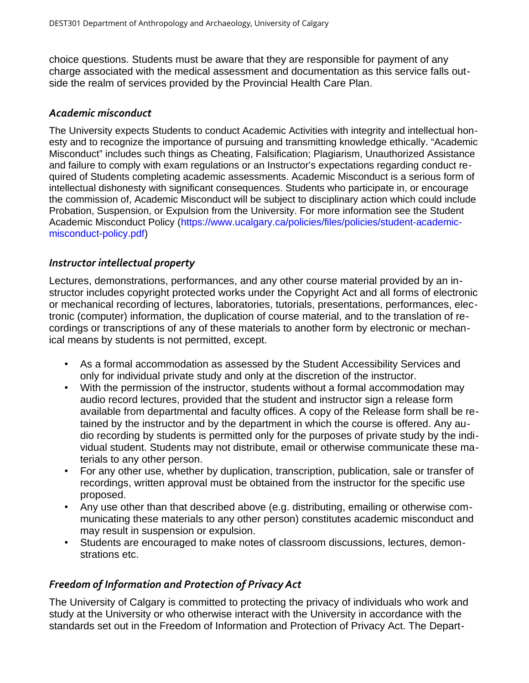choice questions. Students must be aware that they are responsible for payment of any charge associated with the medical assessment and documentation as this service falls outside the realm of services provided by the Provincial Health Care Plan.

#### *Academic misconduct*

The University expects Students to conduct Academic Activities with integrity and intellectual honesty and to recognize the importance of pursuing and transmitting knowledge ethically. "Academic Misconduct" includes such things as Cheating, Falsification; Plagiarism, Unauthorized Assistance and failure to comply with exam regulations or an Instructor's expectations regarding conduct required of Students completing academic assessments. Academic Misconduct is a serious form of intellectual dishonesty with significant consequences. Students who participate in, or encourage the commission of, Academic Misconduct will be subject to disciplinary action which could include Probation, Suspension, or Expulsion from the University. For more information see the Student Academic Misconduct Policy [\(https://www.ucalgary.ca/policies/files/policies/student-academic](https://www.ucalgary.ca/policies/files/policies/student-academic-misconduct-policy.pdf)[misconduct-policy.pdf](https://www.ucalgary.ca/policies/files/policies/student-academic-misconduct-policy.pdf))

### *Instructor intellectual property*

Lectures, demonstrations, performances, and any other course material provided by an instructor includes copyright protected works under the Copyright Act and all forms of electronic or mechanical recording of lectures, laboratories, tutorials, presentations, performances, electronic (computer) information, the duplication of course material, and to the translation of recordings or transcriptions of any of these materials to another form by electronic or mechanical means by students is not permitted, except.

- As a formal accommodation as assessed by the Student Accessibility Services and only for individual private study and only at the discretion of the instructor.
- With the permission of the instructor, students without a formal accommodation may audio record lectures, provided that the student and instructor sign a release form available from departmental and faculty offices. A copy of the Release form shall be retained by the instructor and by the department in which the course is offered. Any audio recording by students is permitted only for the purposes of private study by the individual student. Students may not distribute, email or otherwise communicate these materials to any other person.
- For any other use, whether by duplication, transcription, publication, sale or transfer of recordings, written approval must be obtained from the instructor for the specific use proposed.
- Any use other than that described above (e.g. distributing, emailing or otherwise communicating these materials to any other person) constitutes academic misconduct and may result in suspension or expulsion.
- Students are encouraged to make notes of classroom discussions, lectures, demonstrations etc.

### *Freedom of Information and Protection of Privacy Act*

The University of Calgary is committed to protecting the privacy of individuals who work and study at the University or who otherwise interact with the University in accordance with the standards set out in the Freedom of Information and Protection of Privacy Act. The Depart-